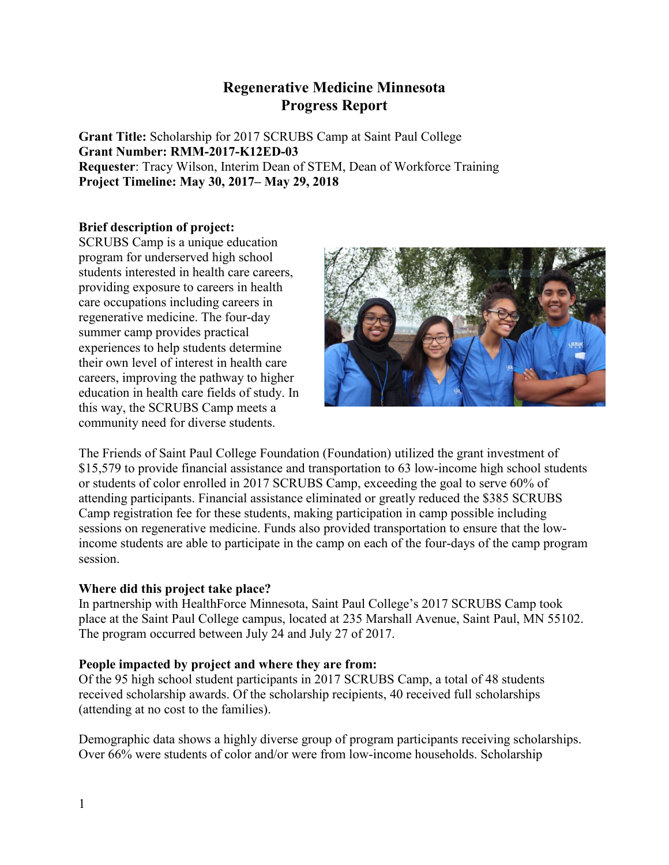# **Regenerative Medicine Minnesota Progress Report**

**Grant Title:** Scholarship for 2017 SCRUBS Camp at Saint Paul College **Grant Number: RMM-2017-K12ED-03 Requester**: Tracy Wilson, Interim Dean of STEM, Dean of Workforce Training **Project Timeline: May 30, 2017– May 29, 2018** 

## **Brief description of project:**

SCRUBS Camp is a unique education program for underserved high school students interested in health care careers, providing exposure to careers in health care occupations including careers in regenerative medicine. The four-day summer camp provides practical experiences to help students determine their own level of interest in health care careers, improving the pathway to higher education in health care fields of study. In this way, the SCRUBS Camp meets a community need for diverse students.



The Friends of Saint Paul College Foundation (Foundation) utilized the grant investment of \$15,579 to provide financial assistance and transportation to 63 low-income high school students or students of color enrolled in 2017 SCRUBS Camp, exceeding the goal to serve 60% of attending participants. Financial assistance eliminated or greatly reduced the \$385 SCRUBS Camp registration fee for these students, making participation in camp possible including sessions on regenerative medicine. Funds also provided transportation to ensure that the lowincome students are able to participate in the camp on each of the four-days of the camp program session.

## **Where did this project take place?**

In partnership with HealthForce Minnesota, Saint Paul College's 2017 SCRUBS Camp took place at the Saint Paul College campus, located at 235 Marshall Avenue, Saint Paul, MN 55102. The program occurred between July 24 and July 27 of 2017.

## **People impacted by project and where they are from:**

Of the 95 high school student participants in 2017 SCRUBS Camp, a total of 48 students received scholarship awards. Of the scholarship recipients, 40 received full scholarships (attending at no cost to the families).

Demographic data shows a highly diverse group of program participants receiving scholarships. Over 66% were students of color and/or were from low-income households. Scholarship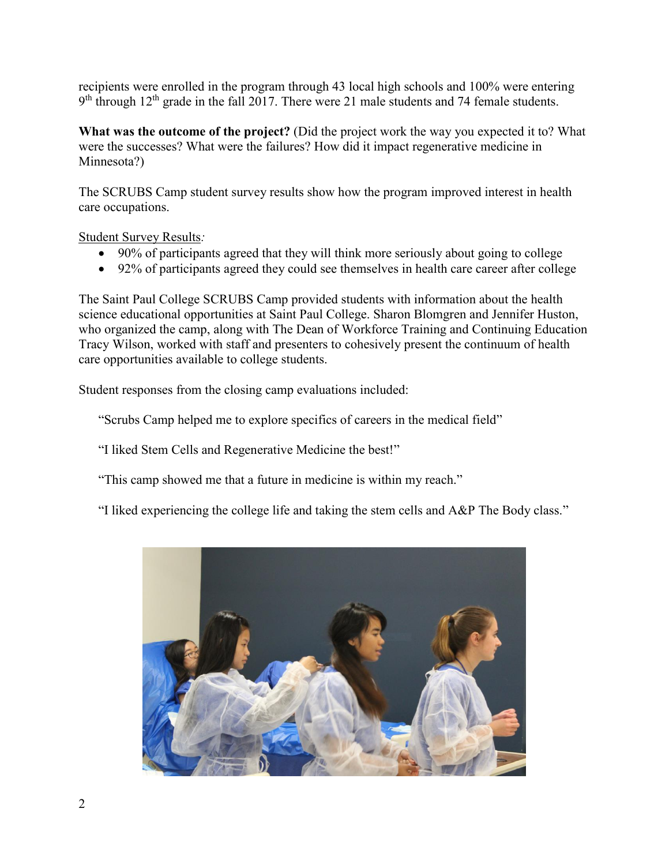recipients were enrolled in the program through 43 local high schools and 100% were entering  $9<sup>th</sup>$  through 12<sup>th</sup> grade in the fall 2017. There were 21 male students and 74 female students.

**What was the outcome of the project?** (Did the project work the way you expected it to? What were the successes? What were the failures? How did it impact regenerative medicine in Minnesota?)

The SCRUBS Camp student survey results show how the program improved interest in health care occupations.

Student Survey Results*:* 

- 90% of participants agreed that they will think more seriously about going to college
- 92% of participants agreed they could see themselves in health care career after college

The Saint Paul College SCRUBS Camp provided students with information about the health science educational opportunities at Saint Paul College. Sharon Blomgren and Jennifer Huston, who organized the camp, along with The Dean of Workforce Training and Continuing Education Tracy Wilson, worked with staff and presenters to cohesively present the continuum of health care opportunities available to college students.

Student responses from the closing camp evaluations included:

"Scrubs Camp helped me to explore specifics of careers in the medical field"

"I liked Stem Cells and Regenerative Medicine the best!"

"This camp showed me that a future in medicine is within my reach."

"I liked experiencing the college life and taking the stem cells and A&P The Body class."

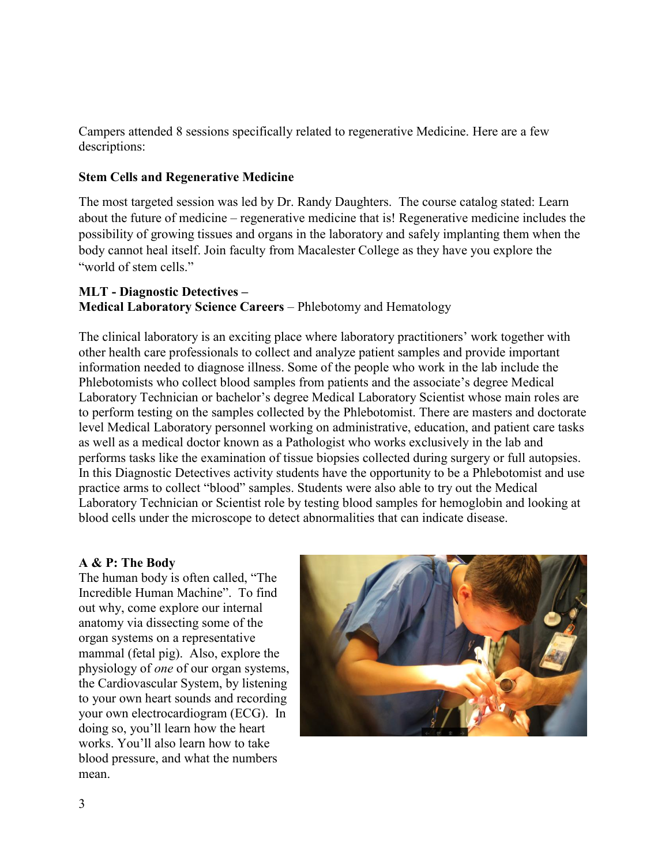Campers attended 8 sessions specifically related to regenerative Medicine. Here are a few descriptions:

#### **Stem Cells and Regenerative Medicine**

The most targeted session was led by Dr. Randy Daughters. The course catalog stated: Learn about the future of medicine – regenerative medicine that is! Regenerative medicine includes the possibility of growing tissues and organs in the laboratory and safely implanting them when the body cannot heal itself. Join faculty from Macalester College as they have you explore the "world of stem cells."

### **MLT - Diagnostic Detectives – Medical Laboratory Science Careers** – Phlebotomy and Hematology

The clinical laboratory is an exciting place where laboratory practitioners' work together with other health care professionals to collect and analyze patient samples and provide important information needed to diagnose illness. Some of the people who work in the lab include the Phlebotomists who collect blood samples from patients and the associate's degree Medical Laboratory Technician or bachelor's degree Medical Laboratory Scientist whose main roles are to perform testing on the samples collected by the Phlebotomist. There are masters and doctorate level Medical Laboratory personnel working on administrative, education, and patient care tasks as well as a medical doctor known as a Pathologist who works exclusively in the lab and performs tasks like the examination of tissue biopsies collected during surgery or full autopsies. In this Diagnostic Detectives activity students have the opportunity to be a Phlebotomist and use practice arms to collect "blood" samples. Students were also able to try out the Medical Laboratory Technician or Scientist role by testing blood samples for hemoglobin and looking at blood cells under the microscope to detect abnormalities that can indicate disease.

#### **A & P: The Body**

The human body is often called, "The Incredible Human Machine". To find out why, come explore our internal anatomy via dissecting some of the organ systems on a representative mammal (fetal pig). Also, explore the physiology of *one* of our organ systems, the Cardiovascular System, by listening to your own heart sounds and recording your own electrocardiogram (ECG). In doing so, you'll learn how the heart works. You'll also learn how to take blood pressure, and what the numbers mean.